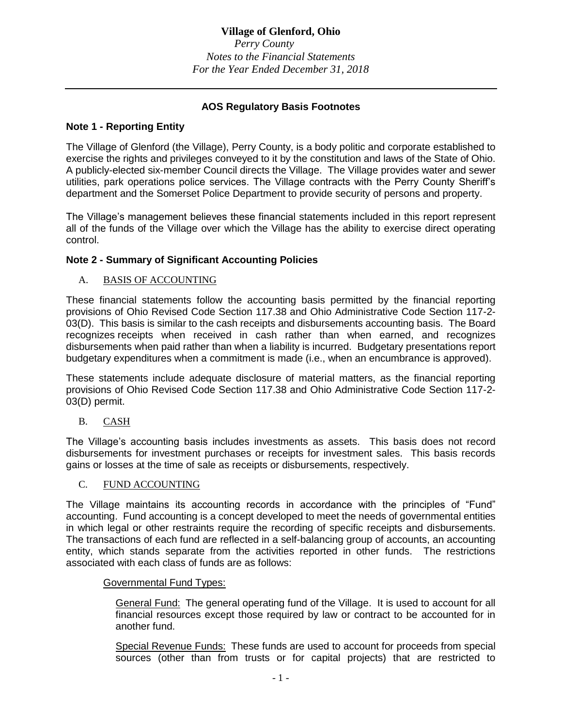# **Village of Glenford, Ohio**

*Perry County Notes to the Financial Statements For the Year Ended December 31, 2018*

# **AOS Regulatory Basis Footnotes**

# **Note 1 - Reporting Entity**

The Village of Glenford (the Village), Perry County, is a body politic and corporate established to exercise the rights and privileges conveyed to it by the constitution and laws of the State of Ohio. A publicly-elected six-member Council directs the Village. The Village provides water and sewer utilities, park operations police services. The Village contracts with the Perry County Sheriff's department and the Somerset Police Department to provide security of persons and property.

The Village's management believes these financial statements included in this report represent all of the funds of the Village over which the Village has the ability to exercise direct operating control.

# **Note 2 - Summary of Significant Accounting Policies**

## A. BASIS OF ACCOUNTING

These financial statements follow the accounting basis permitted by the financial reporting provisions of Ohio Revised Code Section 117.38 and Ohio Administrative Code Section 117-2- 03(D). This basis is similar to the cash receipts and disbursements accounting basis. The Board recognizes receipts when received in cash rather than when earned, and recognizes disbursements when paid rather than when a liability is incurred. Budgetary presentations report budgetary expenditures when a commitment is made (i.e., when an encumbrance is approved).

These statements include adequate disclosure of material matters, as the financial reporting provisions of Ohio Revised Code Section 117.38 and Ohio Administrative Code Section 117-2- 03(D) permit.

B. CASH

The Village's accounting basis includes investments as assets. This basis does not record disbursements for investment purchases or receipts for investment sales. This basis records gains or losses at the time of sale as receipts or disbursements, respectively.

#### C. FUND ACCOUNTING

The Village maintains its accounting records in accordance with the principles of "Fund" accounting. Fund accounting is a concept developed to meet the needs of governmental entities in which legal or other restraints require the recording of specific receipts and disbursements. The transactions of each fund are reflected in a self-balancing group of accounts, an accounting entity, which stands separate from the activities reported in other funds. The restrictions associated with each class of funds are as follows:

## Governmental Fund Types:

General Fund: The general operating fund of the Village. It is used to account for all financial resources except those required by law or contract to be accounted for in another fund.

Special Revenue Funds: These funds are used to account for proceeds from special sources (other than from trusts or for capital projects) that are restricted to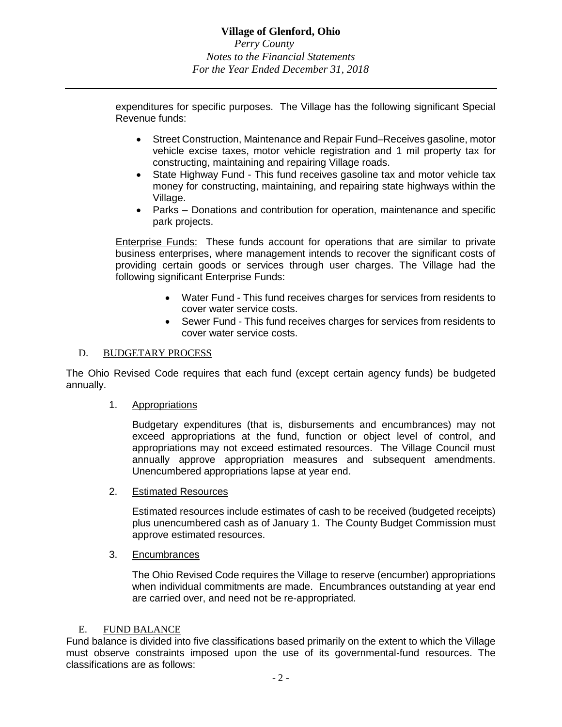expenditures for specific purposes. The Village has the following significant Special Revenue funds:

- Street Construction, Maintenance and Repair Fund–Receives gasoline, motor vehicle excise taxes, motor vehicle registration and 1 mil property tax for constructing, maintaining and repairing Village roads.
- State Highway Fund This fund receives gasoline tax and motor vehicle tax money for constructing, maintaining, and repairing state highways within the Village.
- Parks Donations and contribution for operation, maintenance and specific park projects.

Enterprise Funds: These funds account for operations that are similar to private business enterprises, where management intends to recover the significant costs of providing certain goods or services through user charges. The Village had the following significant Enterprise Funds:

- Water Fund This fund receives charges for services from residents to cover water service costs.
- Sewer Fund This fund receives charges for services from residents to cover water service costs.

# D. BUDGETARY PROCESS

The Ohio Revised Code requires that each fund (except certain agency funds) be budgeted annually.

1. Appropriations

Budgetary expenditures (that is, disbursements and encumbrances) may not exceed appropriations at the fund, function or object level of control, and appropriations may not exceed estimated resources. The Village Council must annually approve appropriation measures and subsequent amendments. Unencumbered appropriations lapse at year end.

2. Estimated Resources

Estimated resources include estimates of cash to be received (budgeted receipts) plus unencumbered cash as of January 1. The County Budget Commission must approve estimated resources.

3. Encumbrances

The Ohio Revised Code requires the Village to reserve (encumber) appropriations when individual commitments are made. Encumbrances outstanding at year end are carried over, and need not be re-appropriated.

#### E. FUND BALANCE

Fund balance is divided into five classifications based primarily on the extent to which the Village must observe constraints imposed upon the use of its governmental-fund resources. The classifications are as follows: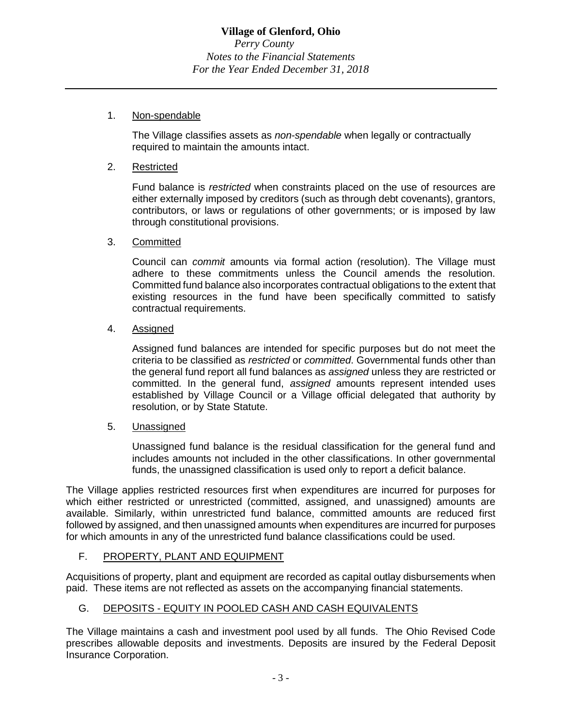## 1. Non-spendable

The Village classifies assets as *non-spendable* when legally or contractually required to maintain the amounts intact.

## 2. Restricted

Fund balance is *restricted* when constraints placed on the use of resources are either externally imposed by creditors (such as through debt covenants), grantors, contributors, or laws or regulations of other governments; or is imposed by law through constitutional provisions.

## 3. Committed

Council can *commit* amounts via formal action (resolution). The Village must adhere to these commitments unless the Council amends the resolution. Committed fund balance also incorporates contractual obligations to the extent that existing resources in the fund have been specifically committed to satisfy contractual requirements.

## 4. Assigned

Assigned fund balances are intended for specific purposes but do not meet the criteria to be classified as *restricted* or *committed*. Governmental funds other than the general fund report all fund balances as *assigned* unless they are restricted or committed. In the general fund, *assigned* amounts represent intended uses established by Village Council or a Village official delegated that authority by resolution, or by State Statute.

## 5. Unassigned

Unassigned fund balance is the residual classification for the general fund and includes amounts not included in the other classifications. In other governmental funds, the unassigned classification is used only to report a deficit balance.

The Village applies restricted resources first when expenditures are incurred for purposes for which either restricted or unrestricted (committed, assigned, and unassigned) amounts are available. Similarly, within unrestricted fund balance, committed amounts are reduced first followed by assigned, and then unassigned amounts when expenditures are incurred for purposes for which amounts in any of the unrestricted fund balance classifications could be used.

## F. PROPERTY, PLANT AND EQUIPMENT

Acquisitions of property, plant and equipment are recorded as capital outlay disbursements when paid. These items are not reflected as assets on the accompanying financial statements.

# G. DEPOSITS - EQUITY IN POOLED CASH AND CASH EQUIVALENTS

The Village maintains a cash and investment pool used by all funds. The Ohio Revised Code prescribes allowable deposits and investments. Deposits are insured by the Federal Deposit Insurance Corporation.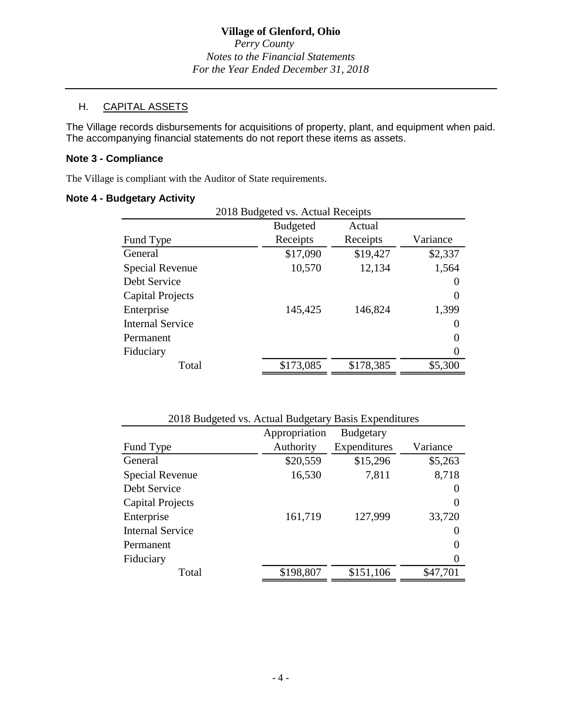*Perry County Notes to the Financial Statements For the Year Ended December 31, 2018*

# H. CAPITAL ASSETS

The Village records disbursements for acquisitions of property, plant, and equipment when paid. The accompanying financial statements do not report these items as assets.

## **Note 3 - Compliance**

The Village is compliant with the Auditor of State requirements.

### **Note 4 - Budgetary Activity**

| аускаг у тосгогу                  |                 |           |                   |
|-----------------------------------|-----------------|-----------|-------------------|
| 2018 Budgeted vs. Actual Receipts |                 |           |                   |
|                                   | <b>Budgeted</b> | Actual    |                   |
| Fund Type                         | Receipts        | Receipts  | Variance          |
| General                           | \$17,090        | \$19,427  | \$2,337           |
| Special Revenue                   | 10,570          | 12,134    | 1,564             |
| Debt Service                      |                 |           | $\theta$          |
| <b>Capital Projects</b>           |                 |           | $\theta$          |
| Enterprise                        | 145,425         | 146,824   | 1,399             |
| <b>Internal Service</b>           |                 |           | $\mathbf{\Omega}$ |
| Permanent                         |                 |           | $\mathcal{L}$     |
| Fiduciary                         |                 |           | $\Omega$          |
| Total                             | \$173,085       | \$178,385 | \$5,300           |
|                                   |                 |           |                   |

| 2018 Budgeted vs. Actual Budgetary Basis Expenditures |                      |                  |          |  |
|-------------------------------------------------------|----------------------|------------------|----------|--|
|                                                       | Appropriation        | <b>Budgetary</b> |          |  |
| Fund Type                                             | Authority            | Expenditures     | Variance |  |
| General                                               | \$15,296<br>\$20,559 |                  | \$5,263  |  |
| <b>Special Revenue</b>                                | 16,530               | 7,811            |          |  |
| Debt Service                                          |                      |                  | $\theta$ |  |
| Capital Projects                                      |                      |                  | 0        |  |
| Enterprise                                            | 161,719              | 127,999          | 33,720   |  |
| <b>Internal Service</b>                               |                      |                  | $\theta$ |  |
| Permanent                                             |                      |                  | $\left($ |  |
| Fiduciary                                             |                      |                  | $\theta$ |  |
| Total                                                 | \$198,807            | \$151,106        | \$47,701 |  |
|                                                       |                      |                  |          |  |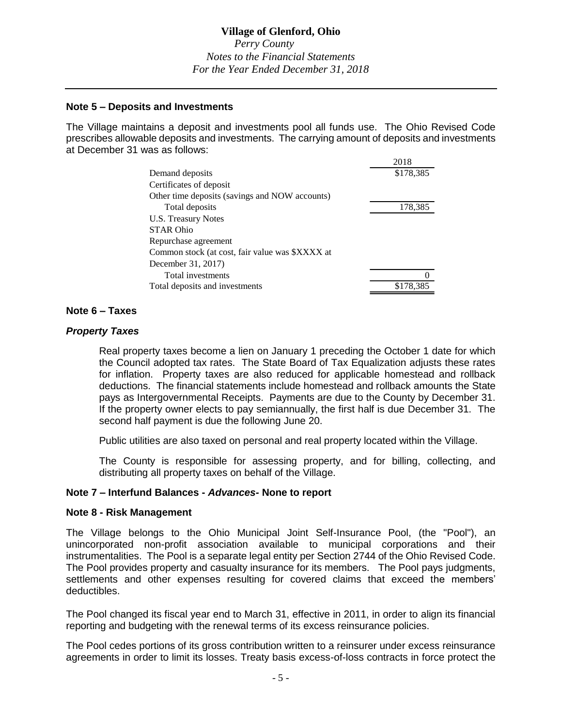# **Village of Glenford, Ohio**

*Perry County Notes to the Financial Statements For the Year Ended December 31, 2018*

### **Note 5 – Deposits and Investments**

The Village maintains a deposit and investments pool all funds use. The Ohio Revised Code prescribes allowable deposits and investments. The carrying amount of deposits and investments at December 31 was as follows:  $2018$ 

| 2018      |
|-----------|
| \$178,385 |
|           |
|           |
| 178,385   |
|           |
|           |
|           |
|           |
|           |
|           |
|           |
|           |

### **Note 6 – Taxes**

### *Property Taxes*

Real property taxes become a lien on January 1 preceding the October 1 date for which the Council adopted tax rates. The State Board of Tax Equalization adjusts these rates for inflation. Property taxes are also reduced for applicable homestead and rollback deductions. The financial statements include homestead and rollback amounts the State pays as Intergovernmental Receipts. Payments are due to the County by December 31. If the property owner elects to pay semiannually, the first half is due December 31. The second half payment is due the following June 20.

Public utilities are also taxed on personal and real property located within the Village.

The County is responsible for assessing property, and for billing, collecting, and distributing all property taxes on behalf of the Village.

#### **Note 7 – Interfund Balances -** *Advances-* **None to report**

#### **Note 8 - Risk Management**

The Village belongs to the Ohio Municipal Joint Self-Insurance Pool, (the "Pool"), an unincorporated non-profit association available to municipal corporations and their instrumentalities. The Pool is a separate legal entity per Section 2744 of the Ohio Revised Code. The Pool provides property and casualty insurance for its members. The Pool pays judgments, settlements and other expenses resulting for covered claims that exceed the members' deductibles.

The Pool changed its fiscal year end to March 31, effective in 2011, in order to align its financial reporting and budgeting with the renewal terms of its excess reinsurance policies.

The Pool cedes portions of its gross contribution written to a reinsurer under excess reinsurance agreements in order to limit its losses. Treaty basis excess-of-loss contracts in force protect the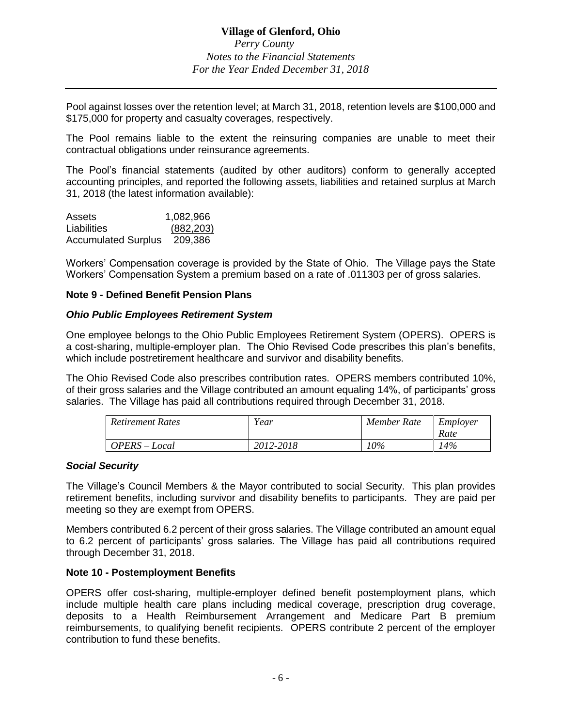Pool against losses over the retention level; at March 31, 2018, retention levels are \$100,000 and \$175,000 for property and casualty coverages, respectively.

The Pool remains liable to the extent the reinsuring companies are unable to meet their contractual obligations under reinsurance agreements.

The Pool's financial statements (audited by other auditors) conform to generally accepted accounting principles, and reported the following assets, liabilities and retained surplus at March 31, 2018 (the latest information available):

| Assets                     | 1,082,966  |
|----------------------------|------------|
| Liabilities                | (882, 203) |
| <b>Accumulated Surplus</b> | 209,386    |

Workers' Compensation coverage is provided by the State of Ohio. The Village pays the State Workers' Compensation System a premium based on a rate of .011303 per of gross salaries.

## **Note 9 - Defined Benefit Pension Plans**

#### *Ohio Public Employees Retirement System*

One employee belongs to the Ohio Public Employees Retirement System (OPERS). OPERS is a cost-sharing, multiple-employer plan. The Ohio Revised Code prescribes this plan's benefits, which include postretirement healthcare and survivor and disability benefits.

The Ohio Revised Code also prescribes contribution rates. OPERS members contributed 10%, of their gross salaries and the Village contributed an amount equaling 14%, of participants' gross salaries. The Village has paid all contributions required through December 31, 2018.

| Retirement Rates | Year      | Member Rate | Employer |
|------------------|-----------|-------------|----------|
|                  |           |             | Rate     |
| OPERS – Local    | 2012-2018 | 10%         | $4\%$    |

#### *Social Security*

The Village's Council Members & the Mayor contributed to social Security. This plan provides retirement benefits, including survivor and disability benefits to participants. They are paid per meeting so they are exempt from OPERS.

Members contributed 6.2 percent of their gross salaries. The Village contributed an amount equal to 6.2 percent of participants' gross salaries. The Village has paid all contributions required through December 31, 2018.

#### **Note 10 - Postemployment Benefits**

OPERS offer cost-sharing, multiple-employer defined benefit postemployment plans, which include multiple health care plans including medical coverage, prescription drug coverage, deposits to a Health Reimbursement Arrangement and Medicare Part B premium reimbursements, to qualifying benefit recipients. OPERS contribute 2 percent of the employer contribution to fund these benefits.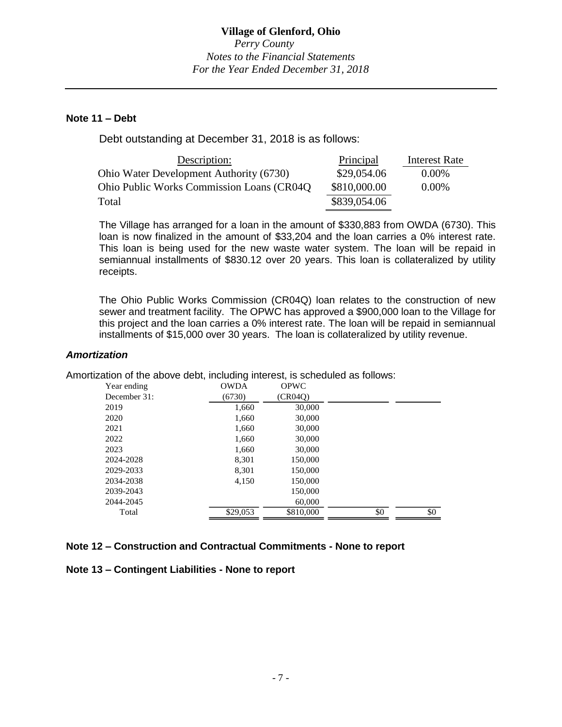### **Note 11 – Debt**

Debt outstanding at December 31, 2018 is as follows:

| Description:                               | Principal    | Interest Rate |
|--------------------------------------------|--------------|---------------|
| Ohio Water Development Authority (6730)    | \$29,054.06  | $0.00\%$      |
| Ohio Public Works Commission Loans (CR04Q) | \$810,000.00 | $0.00\%$      |
| Total                                      | \$839,054.06 |               |

The Village has arranged for a loan in the amount of \$330,883 from OWDA (6730). This loan is now finalized in the amount of \$33,204 and the loan carries a 0% interest rate. This loan is being used for the new waste water system. The loan will be repaid in semiannual installments of \$830.12 over 20 years. This loan is collateralized by utility receipts.

The Ohio Public Works Commission (CR04Q) loan relates to the construction of new sewer and treatment facility. The OPWC has approved a \$900,000 loan to the Village for this project and the loan carries a 0% interest rate. The loan will be repaid in semiannual installments of \$15,000 over 30 years. The loan is collateralized by utility revenue.

## *Amortization*

Amortization of the above debt, including interest, is scheduled as follows:

| Year ending  | <b>OWDA</b> | <b>OPWC</b> |     |     |
|--------------|-------------|-------------|-----|-----|
| December 31: | (6730)      | (CR04O)     |     |     |
| 2019         | 1,660       | 30,000      |     |     |
| 2020         | 1,660       | 30,000      |     |     |
| 2021         | 1,660       | 30,000      |     |     |
| 2022         | 1,660       | 30,000      |     |     |
| 2023         | 1,660       | 30,000      |     |     |
| 2024-2028    | 8,301       | 150,000     |     |     |
| 2029-2033    | 8.301       | 150,000     |     |     |
| 2034-2038    | 4,150       | 150,000     |     |     |
| 2039-2043    |             | 150,000     |     |     |
| 2044-2045    |             | 60,000      |     |     |
| Total        | \$29,053    | \$810,000   | \$0 | \$0 |

#### **Note 12 – Construction and Contractual Commitments - None to report**

#### **Note 13 – Contingent Liabilities - None to report**